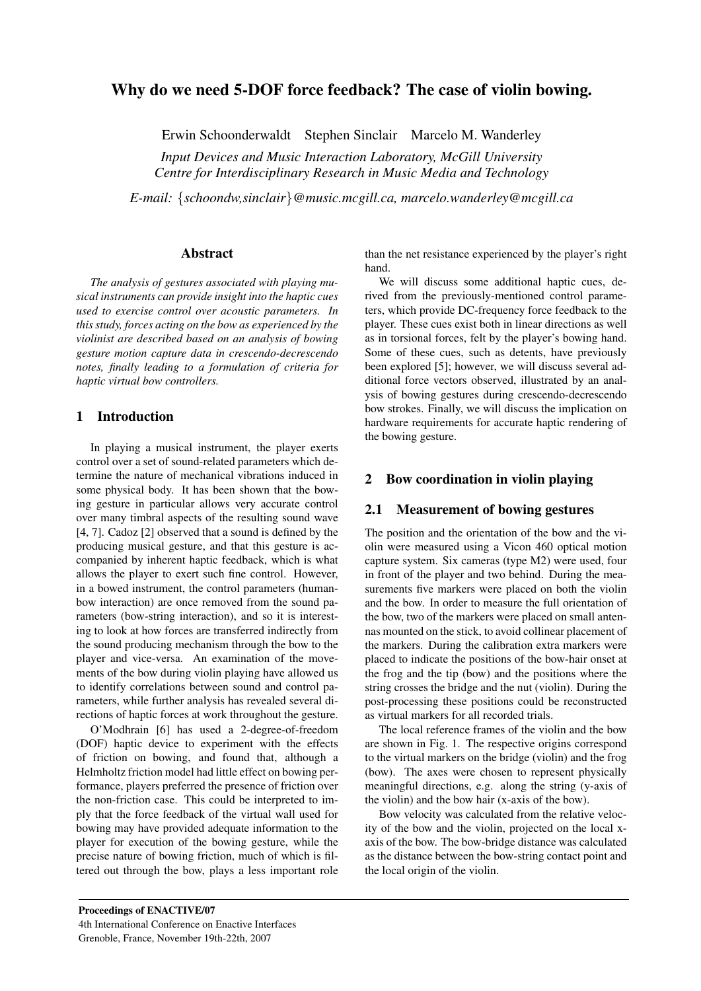# Why do we need 5-DOF force feedback? The case of violin bowing.

Erwin Schoonderwaldt Stephen Sinclair Marcelo M. Wanderley

*Input Devices and Music Interaction Laboratory, McGill University Centre for Interdisciplinary Research in Music Media and Technology*

*E-mail:* {*schoondw,sinclair*}*@music.mcgill.ca, marcelo.wanderley@mcgill.ca*

#### Abstract

*The analysis of gestures associated with playing musical instruments can provide insight into the haptic cues used to exercise control over acoustic parameters. In this study, forces acting on the bow as experienced by the violinist are described based on an analysis of bowing gesture motion capture data in crescendo-decrescendo notes, finally leading to a formulation of criteria for haptic virtual bow controllers.*

## 1 Introduction

In playing a musical instrument, the player exerts control over a set of sound-related parameters which determine the nature of mechanical vibrations induced in some physical body. It has been shown that the bowing gesture in particular allows very accurate control over many timbral aspects of the resulting sound wave [4, 7]. Cadoz [2] observed that a sound is defined by the producing musical gesture, and that this gesture is accompanied by inherent haptic feedback, which is what allows the player to exert such fine control. However, in a bowed instrument, the control parameters (humanbow interaction) are once removed from the sound parameters (bow-string interaction), and so it is interesting to look at how forces are transferred indirectly from the sound producing mechanism through the bow to the player and vice-versa. An examination of the movements of the bow during violin playing have allowed us to identify correlations between sound and control parameters, while further analysis has revealed several directions of haptic forces at work throughout the gesture.

O'Modhrain [6] has used a 2-degree-of-freedom (DOF) haptic device to experiment with the effects of friction on bowing, and found that, although a Helmholtz friction model had little effect on bowing performance, players preferred the presence of friction over the non-friction case. This could be interpreted to imply that the force feedback of the virtual wall used for bowing may have provided adequate information to the player for execution of the bowing gesture, while the precise nature of bowing friction, much of which is filtered out through the bow, plays a less important role than the net resistance experienced by the player's right hand.

We will discuss some additional haptic cues, derived from the previously-mentioned control parameters, which provide DC-frequency force feedback to the player. These cues exist both in linear directions as well as in torsional forces, felt by the player's bowing hand. Some of these cues, such as detents, have previously been explored [5]; however, we will discuss several additional force vectors observed, illustrated by an analysis of bowing gestures during crescendo-decrescendo bow strokes. Finally, we will discuss the implication on hardware requirements for accurate haptic rendering of the bowing gesture.

### 2 Bow coordination in violin playing

## 2.1 Measurement of bowing gestures

The position and the orientation of the bow and the violin were measured using a Vicon 460 optical motion capture system. Six cameras (type M2) were used, four in front of the player and two behind. During the measurements five markers were placed on both the violin and the bow. In order to measure the full orientation of the bow, two of the markers were placed on small antennas mounted on the stick, to avoid collinear placement of the markers. During the calibration extra markers were placed to indicate the positions of the bow-hair onset at the frog and the tip (bow) and the positions where the string crosses the bridge and the nut (violin). During the post-processing these positions could be reconstructed as virtual markers for all recorded trials.

The local reference frames of the violin and the bow are shown in Fig. 1. The respective origins correspond to the virtual markers on the bridge (violin) and the frog (bow). The axes were chosen to represent physically meaningful directions, e.g. along the string (y-axis of the violin) and the bow hair (x-axis of the bow).

Bow velocity was calculated from the relative velocity of the bow and the violin, projected on the local xaxis of the bow. The bow-bridge distance was calculated as the distance between the bow-string contact point and the local origin of the violin.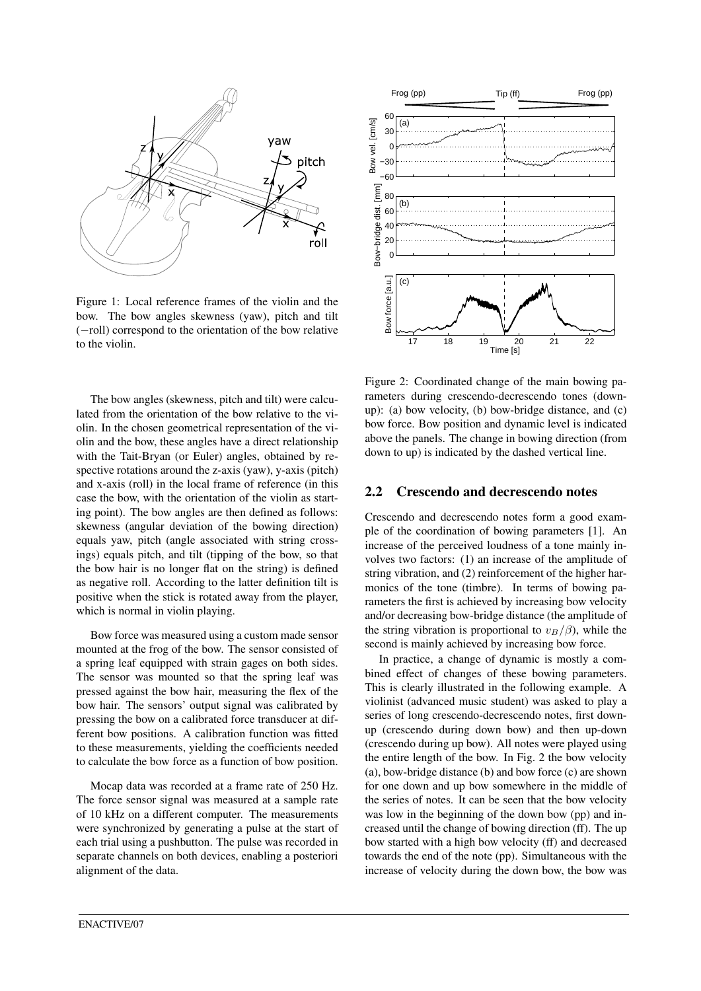

Figure 1: Local reference frames of the violin and the bow. The bow angles skewness (yaw), pitch and tilt (−roll) correspond to the orientation of the bow relative to the violin.

The bow angles (skewness, pitch and tilt) were calculated from the orientation of the bow relative to the violin. In the chosen geometrical representation of the violin and the bow, these angles have a direct relationship with the Tait-Bryan (or Euler) angles, obtained by respective rotations around the z-axis (yaw), y-axis (pitch) and x-axis (roll) in the local frame of reference (in this case the bow, with the orientation of the violin as starting point). The bow angles are then defined as follows: skewness (angular deviation of the bowing direction) equals yaw, pitch (angle associated with string crossings) equals pitch, and tilt (tipping of the bow, so that the bow hair is no longer flat on the string) is defined as negative roll. According to the latter definition tilt is positive when the stick is rotated away from the player, which is normal in violin playing.

Bow force was measured using a custom made sensor mounted at the frog of the bow. The sensor consisted of a spring leaf equipped with strain gages on both sides. The sensor was mounted so that the spring leaf was pressed against the bow hair, measuring the flex of the bow hair. The sensors' output signal was calibrated by pressing the bow on a calibrated force transducer at different bow positions. A calibration function was fitted to these measurements, yielding the coefficients needed to calculate the bow force as a function of bow position.

Mocap data was recorded at a frame rate of 250 Hz. The force sensor signal was measured at a sample rate of 10 kHz on a different computer. The measurements were synchronized by generating a pulse at the start of each trial using a pushbutton. The pulse was recorded in separate channels on both devices, enabling a posteriori alignment of the data.



Figure 2: Coordinated change of the main bowing parameters during crescendo-decrescendo tones (downup): (a) bow velocity, (b) bow-bridge distance, and (c) bow force. Bow position and dynamic level is indicated above the panels. The change in bowing direction (from down to up) is indicated by the dashed vertical line.

### 2.2 Crescendo and decrescendo notes

Crescendo and decrescendo notes form a good example of the coordination of bowing parameters [1]. An increase of the perceived loudness of a tone mainly involves two factors: (1) an increase of the amplitude of string vibration, and (2) reinforcement of the higher harmonics of the tone (timbre). In terms of bowing parameters the first is achieved by increasing bow velocity and/or decreasing bow-bridge distance (the amplitude of the string vibration is proportional to  $v_B/\beta$ , while the second is mainly achieved by increasing bow force.

In practice, a change of dynamic is mostly a combined effect of changes of these bowing parameters. This is clearly illustrated in the following example. A violinist (advanced music student) was asked to play a series of long crescendo-decrescendo notes, first downup (crescendo during down bow) and then up-down (crescendo during up bow). All notes were played using the entire length of the bow. In Fig. 2 the bow velocity (a), bow-bridge distance (b) and bow force (c) are shown for one down and up bow somewhere in the middle of the series of notes. It can be seen that the bow velocity was low in the beginning of the down bow (pp) and increased until the change of bowing direction (ff). The up bow started with a high bow velocity (ff) and decreased towards the end of the note (pp). Simultaneous with the increase of velocity during the down bow, the bow was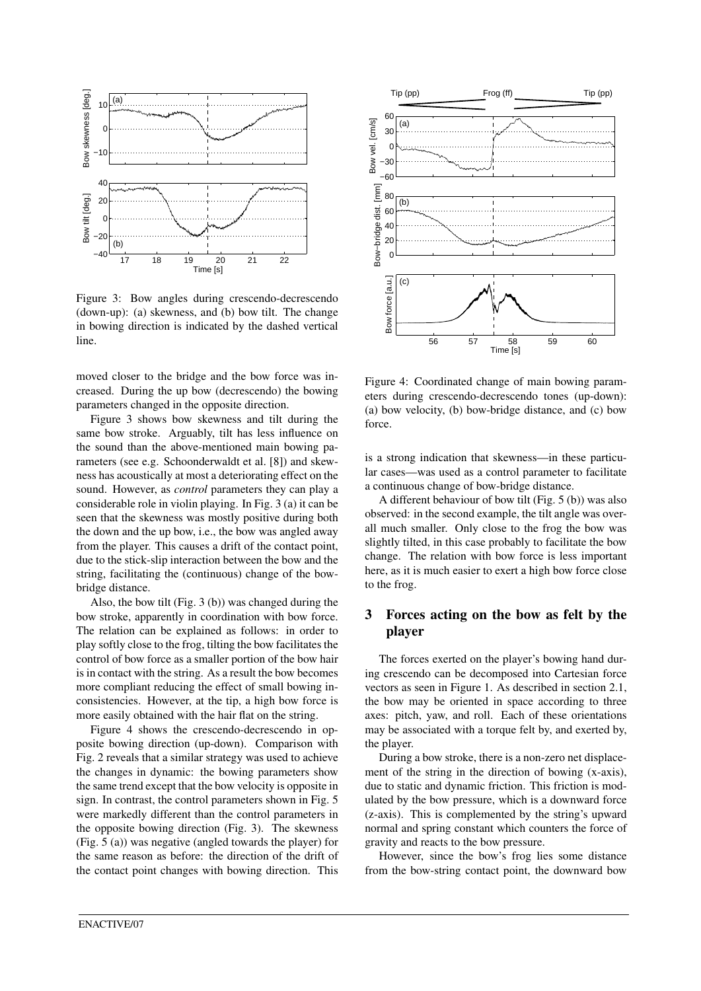

Figure 3: Bow angles during crescendo-decrescendo (down-up): (a) skewness, and (b) bow tilt. The change in bowing direction is indicated by the dashed vertical line.

moved closer to the bridge and the bow force was increased. During the up bow (decrescendo) the bowing parameters changed in the opposite direction.

Figure 3 shows bow skewness and tilt during the same bow stroke. Arguably, tilt has less influence on the sound than the above-mentioned main bowing parameters (see e.g. Schoonderwaldt et al. [8]) and skewness has acoustically at most a deteriorating effect on the sound. However, as *control* parameters they can play a considerable role in violin playing. In Fig. 3 (a) it can be seen that the skewness was mostly positive during both the down and the up bow, i.e., the bow was angled away from the player. This causes a drift of the contact point, due to the stick-slip interaction between the bow and the string, facilitating the (continuous) change of the bowbridge distance.

Also, the bow tilt (Fig. 3 (b)) was changed during the bow stroke, apparently in coordination with bow force. The relation can be explained as follows: in order to play softly close to the frog, tilting the bow facilitates the control of bow force as a smaller portion of the bow hair is in contact with the string. As a result the bow becomes more compliant reducing the effect of small bowing inconsistencies. However, at the tip, a high bow force is more easily obtained with the hair flat on the string.

Figure 4 shows the crescendo-decrescendo in opposite bowing direction (up-down). Comparison with Fig. 2 reveals that a similar strategy was used to achieve the changes in dynamic: the bowing parameters show the same trend except that the bow velocity is opposite in sign. In contrast, the control parameters shown in Fig. 5 were markedly different than the control parameters in the opposite bowing direction (Fig. 3). The skewness (Fig. 5 (a)) was negative (angled towards the player) for the same reason as before: the direction of the drift of the contact point changes with bowing direction. This



Figure 4: Coordinated change of main bowing parameters during crescendo-decrescendo tones (up-down): (a) bow velocity, (b) bow-bridge distance, and (c) bow force.

is a strong indication that skewness—in these particular cases—was used as a control parameter to facilitate a continuous change of bow-bridge distance.

A different behaviour of bow tilt (Fig. 5 (b)) was also observed: in the second example, the tilt angle was overall much smaller. Only close to the frog the bow was slightly tilted, in this case probably to facilitate the bow change. The relation with bow force is less important here, as it is much easier to exert a high bow force close to the frog.

# 3 Forces acting on the bow as felt by the player

The forces exerted on the player's bowing hand during crescendo can be decomposed into Cartesian force vectors as seen in Figure 1. As described in section 2.1, the bow may be oriented in space according to three axes: pitch, yaw, and roll. Each of these orientations may be associated with a torque felt by, and exerted by, the player.

During a bow stroke, there is a non-zero net displacement of the string in the direction of bowing (x-axis), due to static and dynamic friction. This friction is modulated by the bow pressure, which is a downward force (z-axis). This is complemented by the string's upward normal and spring constant which counters the force of gravity and reacts to the bow pressure.

However, since the bow's frog lies some distance from the bow-string contact point, the downward bow